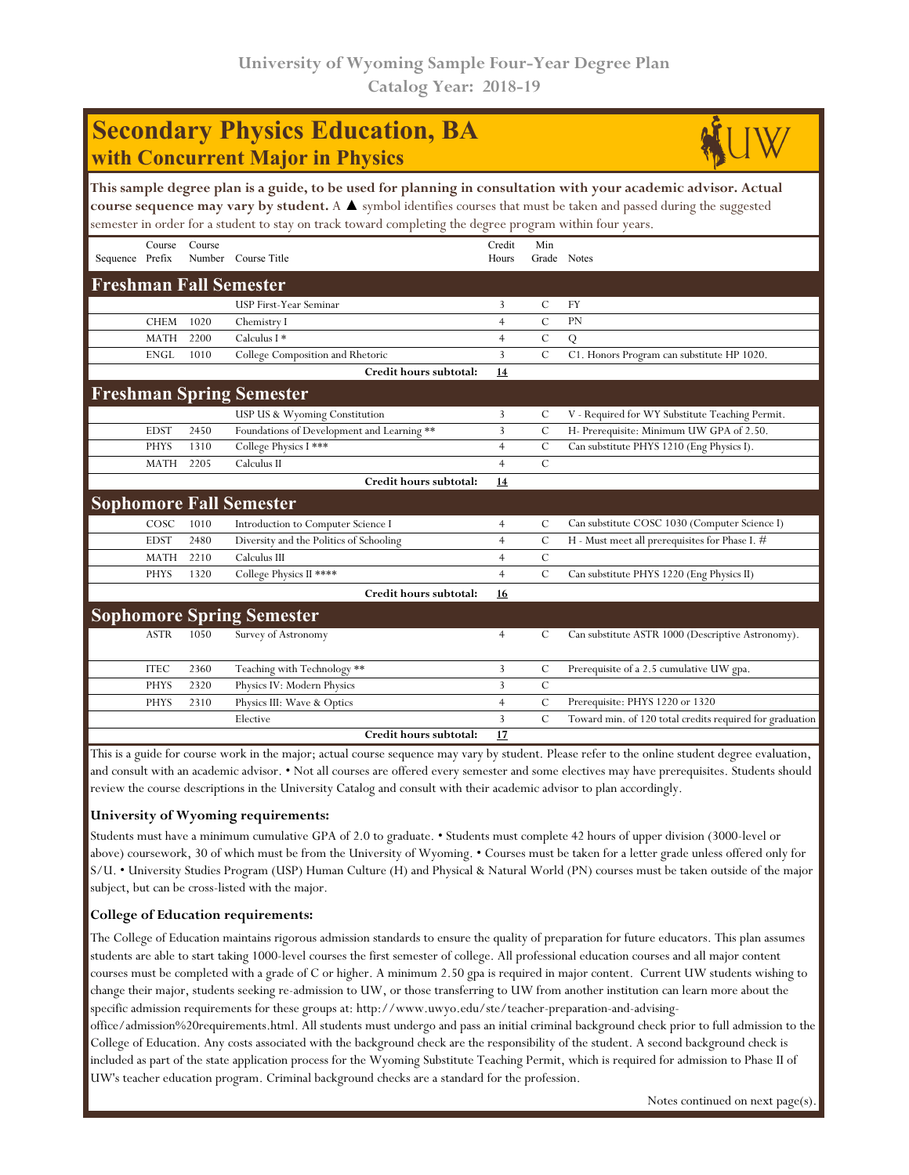## **Secondary Physics Education, BA with Concurrent Major in Physics**



**This sample degree plan is a guide, to be used for planning in consultation with your academic advisor. Actual course sequence may vary by student.** A ▲ symbol identifies courses that must be taken and passed during the suggested semester in order for a student to stay on track toward completing the degree program within four years.

|                                 | Course      | Course |                                            | Credit         | Min           |                                                          |  |  |
|---------------------------------|-------------|--------|--------------------------------------------|----------------|---------------|----------------------------------------------------------|--|--|
| Sequence Prefix                 |             | Number | Course Title                               | Hours          | Grade         | Notes                                                    |  |  |
|                                 |             |        | <b>Freshman Fall Semester</b>              |                |               |                                                          |  |  |
|                                 |             |        | <b>USP First-Year Seminar</b>              | 3              | C             | <b>FY</b>                                                |  |  |
|                                 | <b>CHEM</b> | 1020   | Chemistry I                                | $\overline{4}$ | $\mathcal{C}$ | <b>PN</b>                                                |  |  |
|                                 | <b>MATH</b> | 2200   | Calculus I $*$                             | $\overline{4}$ | $\mathcal{C}$ | Q                                                        |  |  |
|                                 | <b>ENGL</b> | 1010   | College Composition and Rhetoric           | 3              | $\mathcal{C}$ | C1. Honors Program can substitute HP 1020.               |  |  |
|                                 |             |        | Credit hours subtotal:                     | 14             |               |                                                          |  |  |
| <b>Freshman Spring Semester</b> |             |        |                                            |                |               |                                                          |  |  |
|                                 |             |        | USP US & Wyoming Constitution              | 3              | C             | V - Required for WY Substitute Teaching Permit.          |  |  |
|                                 | <b>EDST</b> | 2450   | Foundations of Development and Learning ** | 3              | $\mathcal{C}$ | H- Prerequisite: Minimum UW GPA of 2.50.                 |  |  |
|                                 | <b>PHYS</b> | 1310   | College Physics I ***                      | $\overline{4}$ | $\mathcal{C}$ | Can substitute PHYS 1210 (Eng Physics I).                |  |  |
|                                 | <b>MATH</b> | 2205   | Calculus II                                | $\overline{4}$ | C             |                                                          |  |  |
|                                 |             |        | Credit hours subtotal:                     | 14             |               |                                                          |  |  |
|                                 |             |        | <b>Sophomore Fall Semester</b>             |                |               |                                                          |  |  |
|                                 | COSC        | 1010   | Introduction to Computer Science I         | $\overline{4}$ | $\mathcal{C}$ | Can substitute COSC 1030 (Computer Science I)            |  |  |
|                                 | <b>EDST</b> | 2480   | Diversity and the Politics of Schooling    | $\overline{4}$ | $\mathcal{C}$ | H - Must meet all prerequisites for Phase I. #           |  |  |
|                                 | <b>MATH</b> | 2210   | Calculus III                               | $\overline{4}$ | $\mathcal{C}$ |                                                          |  |  |
|                                 | <b>PHYS</b> | 1320   | College Physics II ****                    | $\overline{4}$ | $\mathcal{C}$ | Can substitute PHYS 1220 (Eng Physics II)                |  |  |
|                                 |             |        | Credit hours subtotal:                     | 16             |               |                                                          |  |  |
|                                 |             |        | <b>Sophomore Spring Semester</b>           |                |               |                                                          |  |  |
|                                 | <b>ASTR</b> | 1050   | Survey of Astronomy                        | $\overline{4}$ | C             | Can substitute ASTR 1000 (Descriptive Astronomy).        |  |  |
|                                 |             |        |                                            |                |               |                                                          |  |  |
|                                 | <b>ITEC</b> | 2360   | Teaching with Technology **                | 3              | $\mathcal{C}$ | Prerequisite of a 2.5 cumulative UW gpa.                 |  |  |
|                                 | <b>PHYS</b> | 2320   | Physics IV: Modern Physics                 | 3              | $\mathcal{C}$ |                                                          |  |  |
|                                 | <b>PHYS</b> | 2310   | Physics III: Wave & Optics                 | $\overline{4}$ | $\mathcal{C}$ | Prerequisite: PHYS 1220 or 1320                          |  |  |
|                                 |             |        | Elective                                   | 3              | $\mathcal{C}$ | Toward min. of 120 total credits required for graduation |  |  |
|                                 |             |        | Credit hours subtotal:                     | 17             |               |                                                          |  |  |

This is a guide for course work in the major; actual course sequence may vary by student. Please refer to the online student degree evaluation, and consult with an academic advisor. • Not all courses are offered every semester and some electives may have prerequisites. Students should review the course descriptions in the University Catalog and consult with their academic advisor to plan accordingly.

## **University of Wyoming requirements:**

Students must have a minimum cumulative GPA of 2.0 to graduate. • Students must complete 42 hours of upper division (3000-level or above) coursework, 30 of which must be from the University of Wyoming. • Courses must be taken for a letter grade unless offered only for S/U. • University Studies Program (USP) Human Culture (H) and Physical & Natural World (PN) courses must be taken outside of the major subject, but can be cross-listed with the major.

## **College of Education requirements:**

The College of Education maintains rigorous admission standards to ensure the quality of preparation for future educators. This plan assumes students are able to start taking 1000-level courses the first semester of college. All professional education courses and all major content courses must be completed with a grade of C or higher. A minimum 2.50 gpa is required in major content. Current UW students wishing to change their major, students seeking re-admission to UW, or those transferring to UW from another institution can learn more about the specific admission requirements for these groups at: http://www.uwyo.edu/ste/teacher-preparation-and-advising-

office/admission%20requirements.html. All students must undergo and pass an initial criminal background check prior to full admission to the College of Education. Any costs associated with the background check are the responsibility of the student. A second background check is included as part of the state application process for the Wyoming Substitute Teaching Permit, which is required for admission to Phase II of UW's teacher education program. Criminal background checks are a standard for the profession.